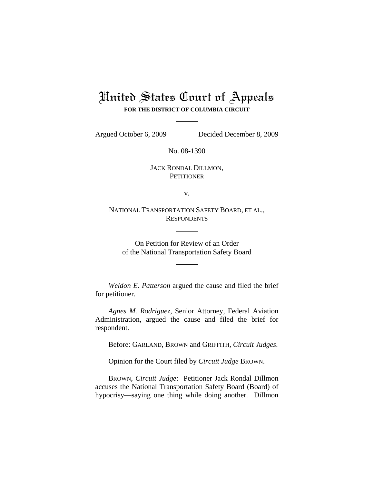## United States Court of Appeals **FOR THE DISTRICT OF COLUMBIA CIRCUIT**

Argued October 6, 2009 Decided December 8, 2009

No. 08-1390

JACK RONDAL DILLMON, **PETITIONER** 

v.

NATIONAL TRANSPORTATION SAFETY BOARD, ET AL., **RESPONDENTS** 

On Petition for Review of an Order of the National Transportation Safety Board

*Weldon E. Patterson* argued the cause and filed the brief for petitioner.

*Agnes M. Rodriguez*, Senior Attorney, Federal Aviation Administration, argued the cause and filed the brief for respondent.

Before: GARLAND, BROWN and GRIFFITH, *Circuit Judges*.

Opinion for the Court filed by *Circuit Judge* BROWN.

BROWN, *Circuit Judge*: Petitioner Jack Rondal Dillmon accuses the National Transportation Safety Board (Board) of hypocrisy—saying one thing while doing another. Dillmon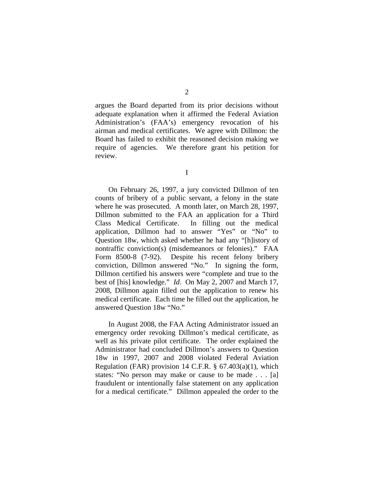argues the Board departed from its prior decisions without adequate explanation when it affirmed the Federal Aviation Administration's (FAA's) emergency revocation of his airman and medical certificates. We agree with Dillmon: the Board has failed to exhibit the reasoned decision making we require of agencies. We therefore grant his petition for review.

I

On February 26, 1997, a jury convicted Dillmon of ten counts of bribery of a public servant, a felony in the state where he was prosecuted. A month later, on March 28, 1997, Dillmon submitted to the FAA an application for a Third Class Medical Certificate. In filling out the medical application, Dillmon had to answer "Yes" or "No" to Question 18w, which asked whether he had any "[h]istory of nontraffic conviction(s) (misdemeanors or felonies)." FAA Form 8500-8 (7-92). Despite his recent felony bribery conviction, Dillmon answered "No." In signing the form, Dillmon certified his answers were "complete and true to the best of [his] knowledge." *Id*. On May 2, 2007 and March 17, 2008, Dillmon again filled out the application to renew his medical certificate. Each time he filled out the application, he answered Question 18w "No."

In August 2008, the FAA Acting Administrator issued an emergency order revoking Dillmon's medical certificate, as well as his private pilot certificate. The order explained the Administrator had concluded Dillmon's answers to Question 18w in 1997, 2007 and 2008 violated Federal Aviation Regulation (FAR) provision 14 C.F.R.  $\S$  67.403(a)(1), which states: "No person may make or cause to be made . . . [a] fraudulent or intentionally false statement on any application for a medical certificate." Dillmon appealed the order to the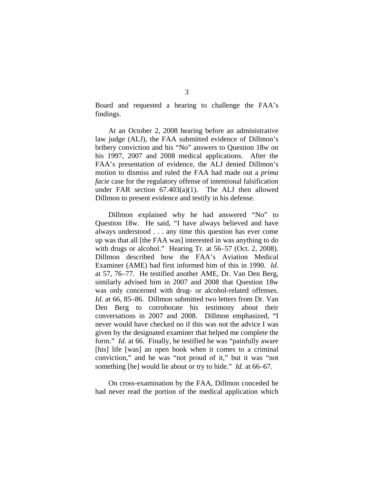Board and requested a hearing to challenge the FAA's findings.

At an October 2, 2008 hearing before an administrative law judge (ALJ), the FAA submitted evidence of Dillmon's bribery conviction and his "No" answers to Question 18w on his 1997, 2007 and 2008 medical applications. After the FAA's presentation of evidence, the ALJ denied Dillmon's motion to dismiss and ruled the FAA had made out a *prima facie* case for the regulatory offense of intentional falsification under FAR section 67.403(a)(1). The ALJ then allowed Dillmon to present evidence and testify in his defense.

Dillmon explained why he had answered "No" to Question 18w. He said, "I have always believed and have always understood . . . any time this question has ever come up was that all [the FAA was] interested in was anything to do with drugs or alcohol." Hearing Tr. at 56–57 (Oct. 2, 2008). Dillmon described how the FAA's Aviation Medical Examiner (AME) had first informed him of this in 1990. *Id*. at 57, 76–77. He testified another AME, Dr. Van Den Berg, similarly advised him in 2007 and 2008 that Question 18w was only concerned with drug- or alcohol-related offenses. *Id.* at 66, 85–86. Dillmon submitted two letters from Dr. Van Den Berg to corroborate his testimony about their conversations in 2007 and 2008. Dillmon emphasized, "I never would have checked no if this was not the advice I was given by the designated examiner that helped me complete the form." *Id*. at 66. Finally, he testified he was "painfully aware [his] life [was] an open book when it comes to a criminal conviction," and he was "not proud of it," but it was "not something [he] would lie about or try to hide." *Id*. at 66–67.

On cross-examination by the FAA, Dillmon conceded he had never read the portion of the medical application which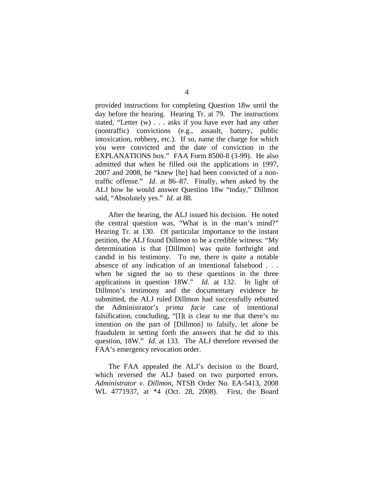provided instructions for completing Question 18w until the day before the hearing. Hearing Tr. at 79. The instructions stated, "Letter (w) . . . asks if you have ever had any other (nontraffic) convictions (e.g., assault, battery, public intoxication, robbery, etc.). If so, name the charge for which you were convicted and the date of conviction in the EXPLANATIONS box." FAA Form 8500-8 (3-99). He also admitted that when he filled out the applications in 1997, 2007 and 2008, he "knew [he] had been convicted of a nontraffic offense." *Id*. at 86–87. Finally, when asked by the ALJ how he would answer Question 18w "today," Dillmon said, "Absolutely yes." *Id*. at 88.

After the hearing, the ALJ issued his decision. He noted the central question was, "What is in the man's mind?" Hearing Tr. at 130. Of particular importance to the instant petition, the ALJ found Dillmon to be a credible witness: "My determination is that [Dillmon] was quite forthright and candid in his testimony. To me, there is quite a notable absence of any indication of an intentional falsehood . . . when he signed the no to these questions in the three applications in question 18W." *Id*. at 132. In light of Dillmon's testimony and the documentary evidence he submitted, the ALJ ruled Dillmon had successfully rebutted the Administrator's *prima facie* case of intentional falsification, concluding, "[I]t is clear to me that there's no intention on the part of [Dillmon] to falsify, let alone be fraudulent in setting forth the answers that he did to this question, 18W." *Id*. at 133. The ALJ therefore reversed the FAA's emergency revocation order.

The FAA appealed the ALJ's decision to the Board, which reversed the ALJ based on two purported errors. *Administrator v. Dillmon*, NTSB Order No. EA-5413, 2008 WL 4771937, at \*4 (Oct. 28, 2008). First, the Board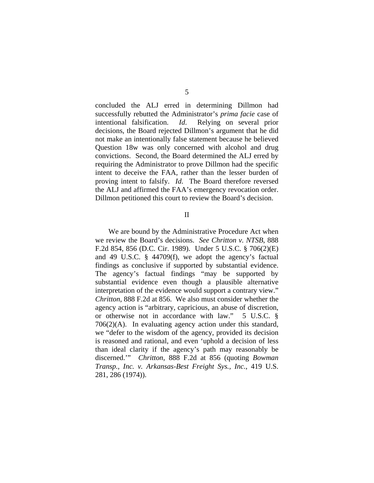concluded the ALJ erred in determining Dillmon had successfully rebutted the Administrator's *prima facie* case of intentional falsification. *Id*. Relying on several prior decisions, the Board rejected Dillmon's argument that he did not make an intentionally false statement because he believed Question 18w was only concerned with alcohol and drug convictions. Second, the Board determined the ALJ erred by requiring the Administrator to prove Dillmon had the specific intent to deceive the FAA, rather than the lesser burden of proving intent to falsify. *Id*. The Board therefore reversed the ALJ and affirmed the FAA's emergency revocation order. Dillmon petitioned this court to review the Board's decision.

II

We are bound by the Administrative Procedure Act when we review the Board's decisions. *See Chritton v. NTSB*, 888 F.2d 854, 856 (D.C. Cir. 1989). Under 5 U.S.C. § 706(2)(E) and 49 U.S.C. § 44709(f), we adopt the agency's factual findings as conclusive if supported by substantial evidence. The agency's factual findings "may be supported by substantial evidence even though a plausible alternative interpretation of the evidence would support a contrary view." *Chritton*, 888 F.2d at 856. We also must consider whether the agency action is "arbitrary, capricious, an abuse of discretion, or otherwise not in accordance with law." 5 U.S.C. § 706(2)(A). In evaluating agency action under this standard, we "defer to the wisdom of the agency, provided its decision is reasoned and rational, and even 'uphold a decision of less than ideal clarity if the agency's path may reasonably be discerned.'" *Chritton*, 888 F.2d at 856 (quoting *Bowman Transp., Inc. v. Arkansas-Best Freight Sys., Inc.*, 419 U.S. 281, 286 (1974)).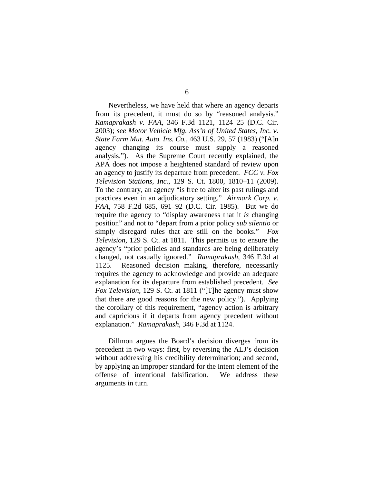Nevertheless, we have held that where an agency departs from its precedent, it must do so by "reasoned analysis." *Ramaprakash v. FAA*, 346 F.3d 1121, 1124–25 (D.C. Cir. 2003); *see Motor Vehicle Mfg. Ass'n of United States, Inc. v. State Farm Mut. Auto. Ins. Co.*, 463 U.S. 29, 57 (1983) ("[A]n agency changing its course must supply a reasoned analysis."). As the Supreme Court recently explained, the APA does not impose a heightened standard of review upon an agency to justify its departure from precedent. *FCC v. Fox Television Stations, Inc.*, 129 S. Ct. 1800, 1810–11 (2009). To the contrary, an agency "is free to alter its past rulings and practices even in an adjudicatory setting." *Airmark Corp. v. FAA*, 758 F.2d 685, 691–92 (D.C. Cir. 1985). But we do require the agency to "display awareness that it *is* changing position" and not to "depart from a prior policy *sub silentio* or simply disregard rules that are still on the books." *Fox Television*, 129 S. Ct. at 1811. This permits us to ensure the agency's "prior policies and standards are being deliberately changed, not casually ignored." *Ramaprakash*, 346 F.3d at 1125. Reasoned decision making, therefore, necessarily requires the agency to acknowledge and provide an adequate explanation for its departure from established precedent. *See Fox Television*, 129 S. Ct. at 1811 ("[T]he agency must show that there are good reasons for the new policy."). Applying the corollary of this requirement, "agency action is arbitrary and capricious if it departs from agency precedent without explanation." *Ramaprakash*, 346 F.3d at 1124.

Dillmon argues the Board's decision diverges from its precedent in two ways: first, by reversing the ALJ's decision without addressing his credibility determination; and second, by applying an improper standard for the intent element of the offense of intentional falsification. We address these arguments in turn.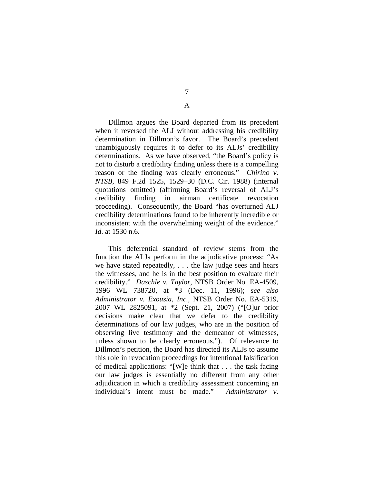## A

Dillmon argues the Board departed from its precedent when it reversed the ALJ without addressing his credibility determination in Dillmon's favor. The Board's precedent unambiguously requires it to defer to its ALJs' credibility determinations. As we have observed, "the Board's policy is not to disturb a credibility finding unless there is a compelling reason or the finding was clearly erroneous." *Chirino v. NTSB*, 849 F.2d 1525, 1529–30 (D.C. Cir. 1988) (internal quotations omitted) (affirming Board's reversal of ALJ's credibility finding in airman certificate revocation proceeding). Consequently, the Board "has overturned ALJ credibility determinations found to be inherently incredible or inconsistent with the overwhelming weight of the evidence." *Id*. at 1530 n.6.

This deferential standard of review stems from the function the ALJs perform in the adjudicative process: "As we have stated repeatedly, . . . the law judge sees and hears the witnesses, and he is in the best position to evaluate their credibility." *Daschle v. Taylor*, NTSB Order No. EA-4509, 1996 WL 738720, at \*3 (Dec. 11, 1996); *see also Administrator v. Exousia, Inc.*, NTSB Order No. EA-5319, 2007 WL 2825091, at \*2 (Sept. 21, 2007) ("[O]ur prior decisions make clear that we defer to the credibility determinations of our law judges, who are in the position of observing live testimony and the demeanor of witnesses, unless shown to be clearly erroneous."). Of relevance to Dillmon's petition, the Board has directed its ALJs to assume this role in revocation proceedings for intentional falsification of medical applications: "[W]e think that . . . the task facing our law judges is essentially no different from any other adjudication in which a credibility assessment concerning an individual's intent must be made." *Administrator v.*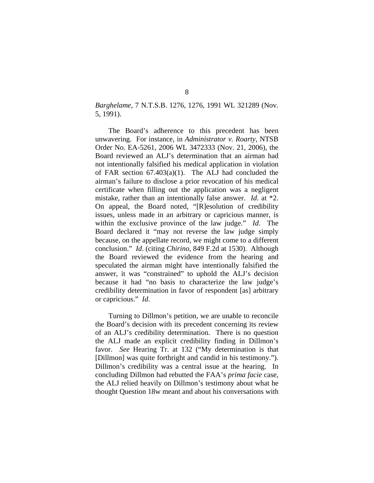## *Barghelame*, 7 N.T.S.B. 1276, 1276, 1991 WL 321289 (Nov. 5, 1991).

The Board's adherence to this precedent has been unwavering. For instance, in *Administrator v. Roarty*, NTSB Order No. EA-5261, 2006 WL 3472333 (Nov. 21, 2006), the Board reviewed an ALJ's determination that an airman had not intentionally falsified his medical application in violation of FAR section 67.403(a)(1). The ALJ had concluded the airman's failure to disclose a prior revocation of his medical certificate when filling out the application was a negligent mistake, rather than an intentionally false answer. *Id*. at \*2. On appeal, the Board noted, "[R]esolution of credibility issues, unless made in an arbitrary or capricious manner, is within the exclusive province of the law judge." *Id*. The Board declared it "may not reverse the law judge simply because, on the appellate record, we might come to a different conclusion." *Id*. (citing *Chirino*, 849 F.2d at 1530). Although the Board reviewed the evidence from the hearing and speculated the airman might have intentionally falsified the answer, it was "constrained" to uphold the ALJ's decision because it had "no basis to characterize the law judge's credibility determination in favor of respondent [as] arbitrary or capricious." *Id*.

Turning to Dillmon's petition, we are unable to reconcile the Board's decision with its precedent concerning its review of an ALJ's credibility determination. There is no question the ALJ made an explicit credibility finding in Dillmon's favor. *See* Hearing Tr. at 132 ("My determination is that [Dillmon] was quite forthright and candid in his testimony."). Dillmon's credibility was a central issue at the hearing. In concluding Dillmon had rebutted the FAA's *prima facie* case, the ALJ relied heavily on Dillmon's testimony about what he thought Question 18w meant and about his conversations with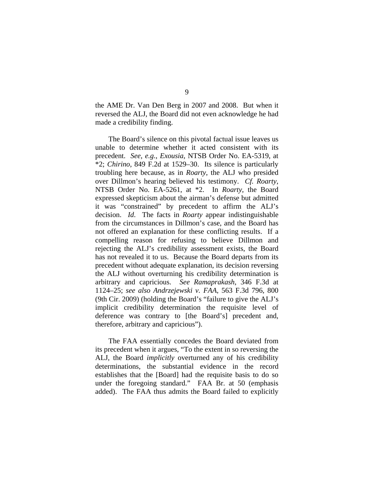the AME Dr. Van Den Berg in 2007 and 2008. But when it reversed the ALJ, the Board did not even acknowledge he had made a credibility finding.

The Board's silence on this pivotal factual issue leaves us unable to determine whether it acted consistent with its precedent. *See, e.g.*, *Exousia*, NTSB Order No. EA-5319, at \*2; *Chirino*, 849 F.2d at 1529–30. Its silence is particularly troubling here because, as in *Roarty*, the ALJ who presided over Dillmon's hearing believed his testimony. *Cf. Roarty*, NTSB Order No. EA-5261, at \*2. In *Roarty*, the Board expressed skepticism about the airman's defense but admitted it was "constrained" by precedent to affirm the ALJ's decision. *Id*. The facts in *Roarty* appear indistinguishable from the circumstances in Dillmon's case, and the Board has not offered an explanation for these conflicting results. If a compelling reason for refusing to believe Dillmon and rejecting the ALJ's credibility assessment exists, the Board has not revealed it to us. Because the Board departs from its precedent without adequate explanation, its decision reversing the ALJ without overturning his credibility determination is arbitrary and capricious. *See Ramaprakash*, 346 F.3d at 1124–25; *see also Andrzejewski v. FAA*, 563 F.3d 796, 800 (9th Cir. 2009) (holding the Board's "failure to give the ALJ's implicit credibility determination the requisite level of deference was contrary to [the Board's] precedent and, therefore, arbitrary and capricious").

The FAA essentially concedes the Board deviated from its precedent when it argues, "To the extent in so reversing the ALJ, the Board *implicitly* overturned any of his credibility determinations, the substantial evidence in the record establishes that the [Board] had the requisite basis to do so under the foregoing standard." FAA Br. at 50 (emphasis added). The FAA thus admits the Board failed to explicitly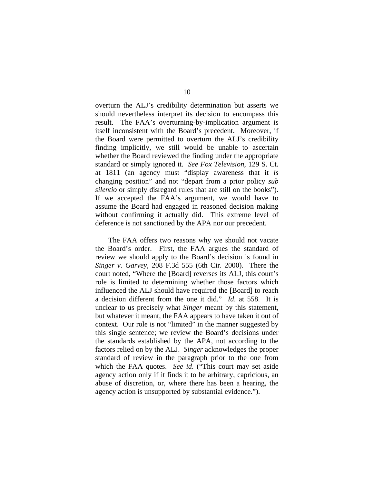overturn the ALJ's credibility determination but asserts we should nevertheless interpret its decision to encompass this result. The FAA's overturning-by-implication argument is itself inconsistent with the Board's precedent. Moreover, if the Board were permitted to overturn the ALJ's credibility finding implicitly, we still would be unable to ascertain whether the Board reviewed the finding under the appropriate standard or simply ignored it. *See Fox Television*, 129 S. Ct. at 1811 (an agency must "display awareness that it *is* changing position" and not "depart from a prior policy *sub silentio* or simply disregard rules that are still on the books"). If we accepted the FAA's argument, we would have to assume the Board had engaged in reasoned decision making without confirming it actually did. This extreme level of deference is not sanctioned by the APA nor our precedent.

The FAA offers two reasons why we should not vacate the Board's order. First, the FAA argues the standard of review we should apply to the Board's decision is found in *Singer v. Garvey*, 208 F.3d 555 (6th Cir. 2000). There the court noted, "Where the [Board] reverses its ALJ, this court's role is limited to determining whether those factors which influenced the ALJ should have required the [Board] to reach a decision different from the one it did." *Id*. at 558. It is unclear to us precisely what *Singer* meant by this statement, but whatever it meant, the FAA appears to have taken it out of context. Our role is not "limited" in the manner suggested by this single sentence; we review the Board's decisions under the standards established by the APA, not according to the factors relied on by the ALJ. *Singer* acknowledges the proper standard of review in the paragraph prior to the one from which the FAA quotes. *See id*. ("This court may set aside agency action only if it finds it to be arbitrary, capricious, an abuse of discretion, or, where there has been a hearing, the agency action is unsupported by substantial evidence.").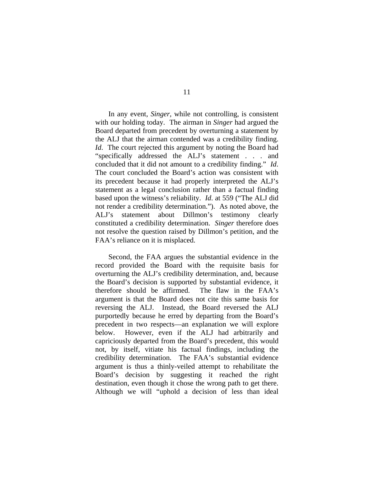In any event, *Singer*, while not controlling, is consistent with our holding today. The airman in *Singer* had argued the Board departed from precedent by overturning a statement by the ALJ that the airman contended was a credibility finding. *Id*. The court rejected this argument by noting the Board had "specifically addressed the ALJ's statement . . . and concluded that it did not amount to a credibility finding." *Id*. The court concluded the Board's action was consistent with its precedent because it had properly interpreted the ALJ's statement as a legal conclusion rather than a factual finding based upon the witness's reliability. *Id*. at 559 ("The ALJ did not render a credibility determination."). As noted above, the ALJ's statement about Dillmon's testimony clearly constituted a credibility determination. *Singer* therefore does not resolve the question raised by Dillmon's petition, and the FAA's reliance on it is misplaced.

Second, the FAA argues the substantial evidence in the record provided the Board with the requisite basis for overturning the ALJ's credibility determination, and, because the Board's decision is supported by substantial evidence, it therefore should be affirmed. The flaw in the FAA's argument is that the Board does not cite this same basis for reversing the ALJ. Instead, the Board reversed the ALJ purportedly because he erred by departing from the Board's precedent in two respects—an explanation we will explore below. However, even if the ALJ had arbitrarily and capriciously departed from the Board's precedent, this would not, by itself, vitiate his factual findings, including the credibility determination. The FAA's substantial evidence argument is thus a thinly-veiled attempt to rehabilitate the Board's decision by suggesting it reached the right destination, even though it chose the wrong path to get there. Although we will "uphold a decision of less than ideal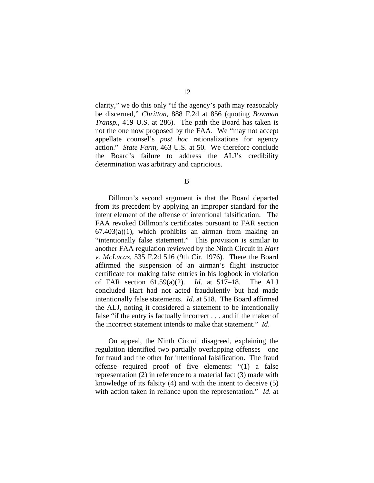clarity," we do this only "if the agency's path may reasonably be discerned," *Chritton*, 888 F.2d at 856 (quoting *Bowman Transp.*, 419 U.S. at 286). The path the Board has taken is not the one now proposed by the FAA. We "may not accept appellate counsel's *post hoc* rationalizations for agency action." *State Farm*, 463 U.S. at 50. We therefore conclude the Board's failure to address the ALJ's credibility determination was arbitrary and capricious.

B

Dillmon's second argument is that the Board departed from its precedent by applying an improper standard for the intent element of the offense of intentional falsification. The FAA revoked Dillmon's certificates pursuant to FAR section  $67.403(a)(1)$ , which prohibits an airman from making an "intentionally false statement." This provision is similar to another FAA regulation reviewed by the Ninth Circuit in *Hart v. McLucas*, 535 F.2d 516 (9th Cir. 1976). There the Board affirmed the suspension of an airman's flight instructor certificate for making false entries in his logbook in violation of FAR section 61.59(a)(2). *Id*. at 517–18. The ALJ concluded Hart had not acted fraudulently but had made intentionally false statements. *Id*. at 518. The Board affirmed the ALJ, noting it considered a statement to be intentionally false "if the entry is factually incorrect . . . and if the maker of the incorrect statement intends to make that statement." *Id*.

On appeal, the Ninth Circuit disagreed, explaining the regulation identified two partially overlapping offenses—one for fraud and the other for intentional falsification. The fraud offense required proof of five elements: "(1) a false representation (2) in reference to a material fact (3) made with knowledge of its falsity (4) and with the intent to deceive (5) with action taken in reliance upon the representation." *Id*. at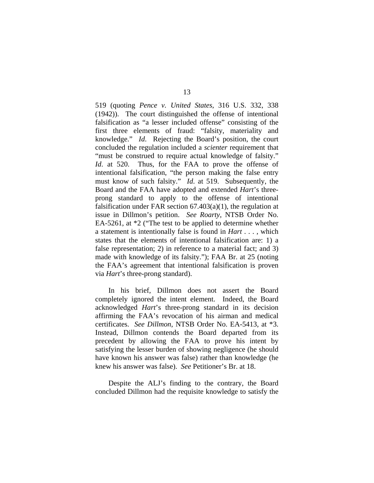519 (quoting *Pence v. United States*, 316 U.S. 332, 338 (1942)). The court distinguished the offense of intentional falsification as "a lesser included offense" consisting of the first three elements of fraud: "falsity, materiality and knowledge." *Id*. Rejecting the Board's position, the court concluded the regulation included a *scienter* requirement that "must be construed to require actual knowledge of falsity." *Id*. at 520. Thus, for the FAA to prove the offense of intentional falsification, "the person making the false entry must know of such falsity." *Id*. at 519. Subsequently, the Board and the FAA have adopted and extended *Hart*'s threeprong standard to apply to the offense of intentional falsification under FAR section  $67.403(a)(1)$ , the regulation at issue in Dillmon's petition. *See Roarty*, NTSB Order No. EA-5261, at \*2 ("The test to be applied to determine whether a statement is intentionally false is found in *Hart* . . . , which states that the elements of intentional falsification are: 1) a false representation; 2) in reference to a material fact; and 3) made with knowledge of its falsity."); FAA Br. at 25 (noting the FAA's agreement that intentional falsification is proven via *Hart*'s three-prong standard).

In his brief, Dillmon does not assert the Board completely ignored the intent element. Indeed, the Board acknowledged *Hart*'s three-prong standard in its decision affirming the FAA's revocation of his airman and medical certificates. *See Dillmon*, NTSB Order No. EA-5413, at \*3. Instead, Dillmon contends the Board departed from its precedent by allowing the FAA to prove his intent by satisfying the lesser burden of showing negligence (he should have known his answer was false) rather than knowledge (he knew his answer was false). *See* Petitioner's Br. at 18.

Despite the ALJ's finding to the contrary, the Board concluded Dillmon had the requisite knowledge to satisfy the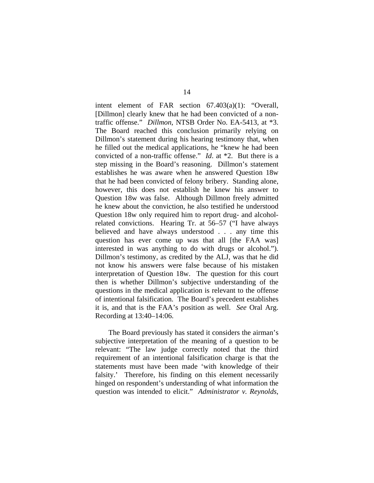intent element of FAR section 67.403(a)(1): "Overall, [Dillmon] clearly knew that he had been convicted of a nontraffic offense." *Dillmon*, NTSB Order No. EA-5413, at \*3. The Board reached this conclusion primarily relying on Dillmon's statement during his hearing testimony that, when he filled out the medical applications, he "knew he had been convicted of a non-traffic offense." *Id*. at \*2. But there is a step missing in the Board's reasoning. Dillmon's statement establishes he was aware when he answered Question 18w that he had been convicted of felony bribery. Standing alone, however, this does not establish he knew his answer to Question 18w was false. Although Dillmon freely admitted he knew about the conviction, he also testified he understood Question 18w only required him to report drug- and alcoholrelated convictions. Hearing Tr. at 56–57 ("I have always believed and have always understood . . . any time this question has ever come up was that all [the FAA was] interested in was anything to do with drugs or alcohol."). Dillmon's testimony, as credited by the ALJ, was that he did not know his answers were false because of his mistaken interpretation of Question 18w. The question for this court then is whether Dillmon's subjective understanding of the questions in the medical application is relevant to the offense of intentional falsification. The Board's precedent establishes it is, and that is the FAA's position as well. *See* Oral Arg. Recording at 13:40–14:06.

The Board previously has stated it considers the airman's subjective interpretation of the meaning of a question to be relevant: "The law judge correctly noted that the third requirement of an intentional falsification charge is that the statements must have been made 'with knowledge of their falsity.' Therefore, his finding on this element necessarily hinged on respondent's understanding of what information the question was intended to elicit." *Administrator v. Reynolds*,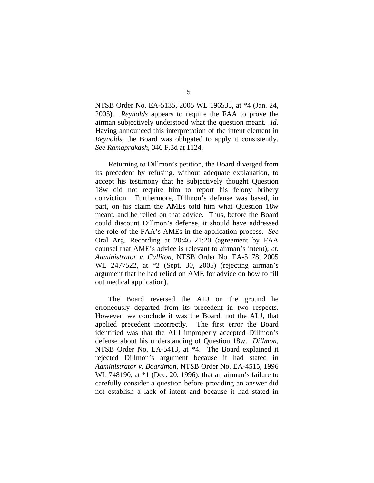NTSB Order No. EA-5135, 2005 WL 196535, at \*4 (Jan. 24, 2005). *Reynolds* appears to require the FAA to prove the airman subjectively understood what the question meant. *Id*. Having announced this interpretation of the intent element in *Reynolds*, the Board was obligated to apply it consistently. *See Ramaprakash*, 346 F.3d at 1124.

Returning to Dillmon's petition, the Board diverged from its precedent by refusing, without adequate explanation, to accept his testimony that he subjectively thought Question 18w did not require him to report his felony bribery conviction. Furthermore, Dillmon's defense was based, in part, on his claim the AMEs told him what Question 18w meant, and he relied on that advice. Thus, before the Board could discount Dillmon's defense, it should have addressed the role of the FAA's AMEs in the application process. *See* Oral Arg. Recording at 20:46–21:20 (agreement by FAA counsel that AME's advice is relevant to airman's intent); *cf. Administrator v. Culliton*, NTSB Order No. EA-5178, 2005 WL 2477522, at \*2 (Sept. 30, 2005) (rejecting airman's argument that he had relied on AME for advice on how to fill out medical application).

The Board reversed the ALJ on the ground he erroneously departed from its precedent in two respects. However, we conclude it was the Board, not the ALJ, that applied precedent incorrectly. The first error the Board identified was that the ALJ improperly accepted Dillmon's defense about his understanding of Question 18w. *Dillmon*, NTSB Order No. EA-5413, at \*4. The Board explained it rejected Dillmon's argument because it had stated in *Administrator v. Boardman*, NTSB Order No. EA-4515, 1996 WL 748190, at \*1 (Dec. 20, 1996), that an airman's failure to carefully consider a question before providing an answer did not establish a lack of intent and because it had stated in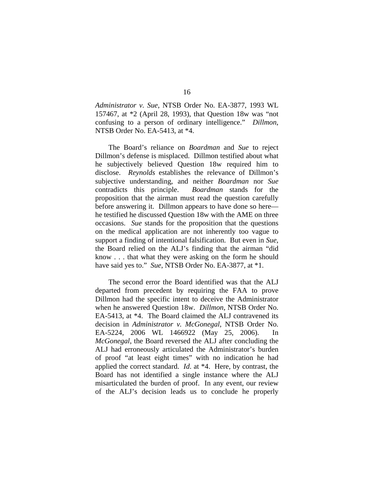*Administrator v. Sue*, NTSB Order No. EA-3877, 1993 WL 157467, at \*2 (April 28, 1993), that Question 18w was "not confusing to a person of ordinary intelligence." *Dillmon*, NTSB Order No. EA-5413, at \*4.

The Board's reliance on *Boardman* and *Sue* to reject Dillmon's defense is misplaced. Dillmon testified about what he subjectively believed Question 18w required him to disclose. *Reynolds* establishes the relevance of Dillmon's subjective understanding, and neither *Boardman* nor *Sue* contradicts this principle. *Boardman* stands for the proposition that the airman must read the question carefully before answering it. Dillmon appears to have done so here he testified he discussed Question 18w with the AME on three occasions. *Sue* stands for the proposition that the questions on the medical application are not inherently too vague to support a finding of intentional falsification. But even in *Sue*, the Board relied on the ALJ's finding that the airman "did know . . . that what they were asking on the form he should have said yes to." *Sue*, NTSB Order No. EA-3877, at \*1.

The second error the Board identified was that the ALJ departed from precedent by requiring the FAA to prove Dillmon had the specific intent to deceive the Administrator when he answered Question 18w. *Dillmon*, NTSB Order No. EA-5413, at \*4. The Board claimed the ALJ contravened its decision in *Administrator v. McGonegal*, NTSB Order No. EA-5224, 2006 WL 1466922 (May 25, 2006). In *McGonegal*, the Board reversed the ALJ after concluding the ALJ had erroneously articulated the Administrator's burden of proof "at least eight times" with no indication he had applied the correct standard. *Id*. at \*4. Here, by contrast, the Board has not identified a single instance where the ALJ misarticulated the burden of proof. In any event, our review of the ALJ's decision leads us to conclude he properly